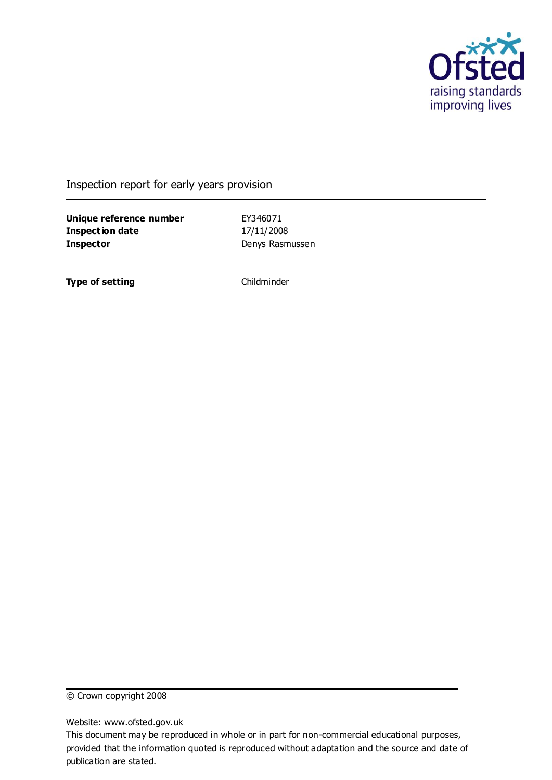

Inspection report for early years provision

**Unique reference number** EY346071 **Inspection date** 17/11/2008 **Inspector** Denys Rasmussen

**Type of setting** Childminder

© Crown copyright 2008

Website: www.ofsted.gov.uk

This document may be reproduced in whole or in part for non-commercial educational purposes, provided that the information quoted is reproduced without adaptation and the source and date of publication are stated.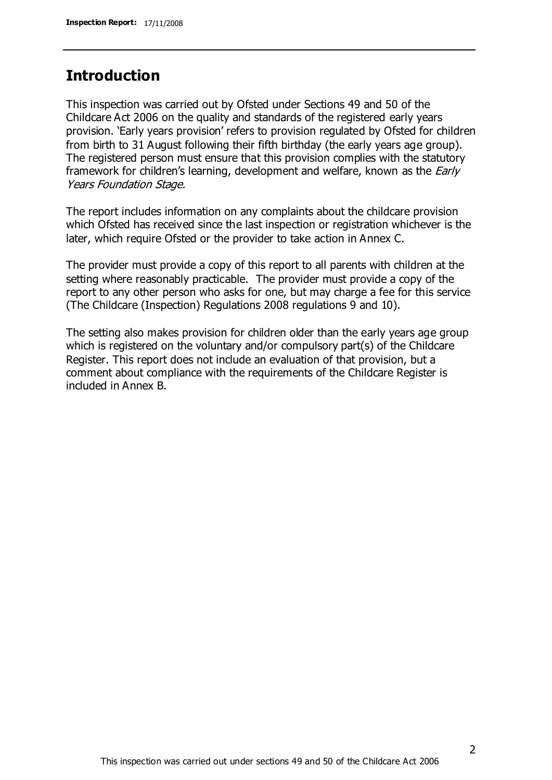## **Introduction**

This inspection was carried out by Ofsted under Sections 49 and 50 of the Childcare Act 2006 on the quality and standards of the registered early years provision. 'Early years provision' refers to provision regulated by Ofsted for children from birth to 31 August following their fifth birthday (the early years age group). The registered person must ensure that this provision complies with the statutory framework for children's learning, development and welfare, known as the *Early* Years Foundation Stage.

The report includes information on any complaints about the childcare provision which Ofsted has received since the last inspection or registration whichever is the later, which require Ofsted or the provider to take action in Annex C.

The provider must provide a copy of this report to all parents with children at the setting where reasonably practicable. The provider must provide a copy of the report to any other person who asks for one, but may charge a fee for this service (The Childcare (Inspection) Regulations 2008 regulations 9 and 10).

The setting also makes provision for children older than the early years age group which is registered on the voluntary and/or compulsory part(s) of the Childcare Register. This report does not include an evaluation of that provision, but a comment about compliance with the requirements of the Childcare Register is included in Annex B.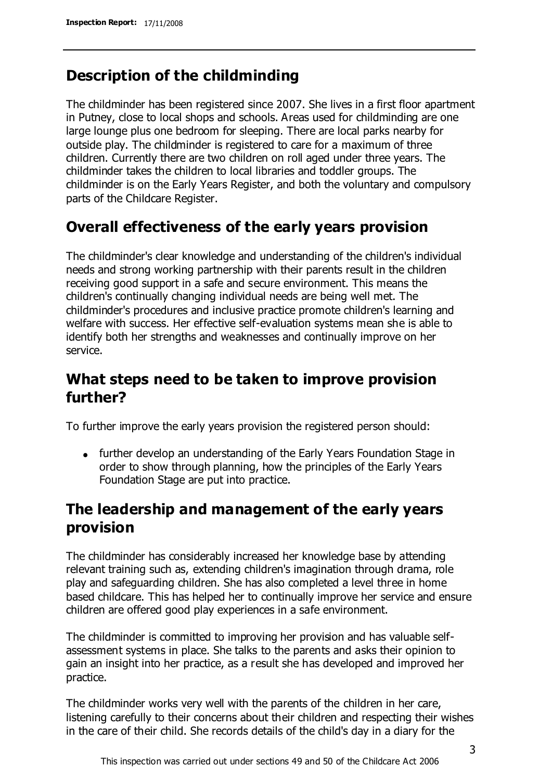# **Description of the childminding**

The childminder has been registered since 2007. She lives in a first floor apartment in Putney, close to local shops and schools. Areas used for childminding are one large lounge plus one bedroom for sleeping. There are local parks nearby for outside play. The childminder is registered to care for a maximum of three children. Currently there are two children on roll aged under three years. The childminder takes the children to local libraries and toddler groups. The childminder is on the Early Years Register, and both the voluntary and compulsory parts of the Childcare Register.

# **Overall effectiveness of the early years provision**

The childminder's clear knowledge and understanding of the children's individual needs and strong working partnership with their parents result in the children receiving good support in a safe and secure environment. This means the children's continually changing individual needs are being well met. The childminder's procedures and inclusive practice promote children's learning and welfare with success. Her effective self-evaluation systems mean she is able to identify both her strengths and weaknesses and continually improve on her service.

# **What steps need to be taken to improve provision further?**

To further improve the early years provision the registered person should:

• further develop an understanding of the Early Years Foundation Stage in order to show through planning, how the principles of the Early Years Foundation Stage are put into practice.

# **The leadership and management of the early years provision**

The childminder has considerably increased her knowledge base by attending relevant training such as, extending children's imagination through drama, role play and safeguarding children. She has also completed a level three in home based childcare. This has helped her to continually improve her service and ensure children are offered good play experiences in a safe environment.

The childminder is committed to improving her provision and has valuable selfassessment systems in place. She talks to the parents and asks their opinion to gain an insight into her practice, as a result she has developed and improved her practice.

The childminder works very well with the parents of the children in her care, listening carefully to their concerns about their children and respecting their wishes in the care of their child. She records details of the child's day in a diary for the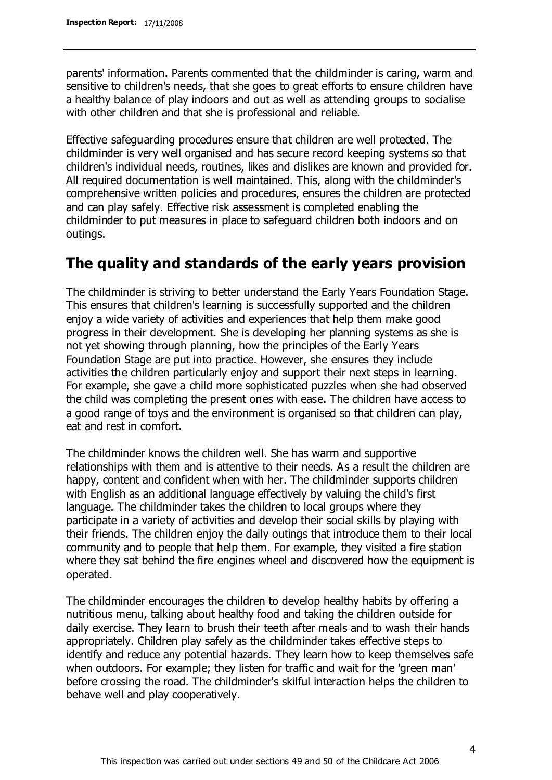parents' information. Parents commented that the childminder is caring, warm and sensitive to children's needs, that she goes to great efforts to ensure children have a healthy balance of play indoors and out as well as attending groups to socialise with other children and that she is professional and reliable.

Effective safeguarding procedures ensure that children are well protected. The childminder is very well organised and has secure record keeping systems so that children's individual needs, routines, likes and dislikes are known and provided for. All required documentation is well maintained. This, along with the childminder's comprehensive written policies and procedures, ensures the children are protected and can play safely. Effective risk assessment is completed enabling the childminder to put measures in place to safeguard children both indoors and on outings.

### **The quality and standards of the early years provision**

The childminder is striving to better understand the Early Years Foundation Stage. This ensures that children's learning is successfully supported and the children enjoy a wide variety of activities and experiences that help them make good progress in their development. She is developing her planning systems as she is not yet showing through planning, how the principles of the Early Years Foundation Stage are put into practice. However, she ensures they include activities the children particularly enjoy and support their next steps in learning. For example, she gave a child more sophisticated puzzles when she had observed the child was completing the present ones with ease. The children have access to a good range of toys and the environment is organised so that children can play, eat and rest in comfort.

The childminder knows the children well. She has warm and supportive relationships with them and is attentive to their needs. As a result the children are happy, content and confident when with her. The childminder supports children with English as an additional language effectively by valuing the child's first language. The childminder takes the children to local groups where they participate in a variety of activities and develop their social skills by playing with their friends. The children enjoy the daily outings that introduce them to their local community and to people that help them. For example, they visited a fire station where they sat behind the fire engines wheel and discovered how the equipment is operated.

The childminder encourages the children to develop healthy habits by offering a nutritious menu, talking about healthy food and taking the children outside for daily exercise. They learn to brush their teeth after meals and to wash their hands appropriately. Children play safely as the childminder takes effective steps to identify and reduce any potential hazards. They learn how to keep themselves safe when outdoors. For example; they listen for traffic and wait for the 'green man' before crossing the road. The childminder's skilful interaction helps the children to behave well and play cooperatively.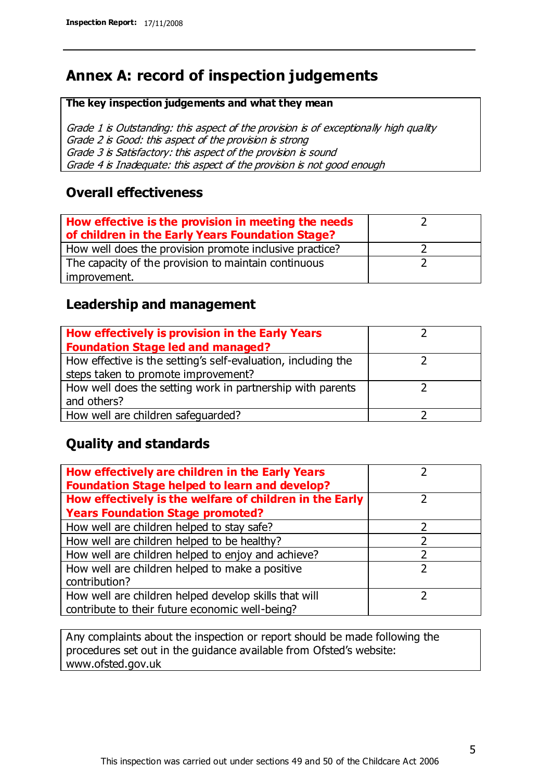# **Annex A: record of inspection judgements**

#### **The key inspection judgements and what they mean**

Grade 1 is Outstanding: this aspect of the provision is of exceptionally high quality Grade 2 is Good: this aspect of the provision is strong Grade 3 is Satisfactory: this aspect of the provision is sound Grade 4 is Inadequate: this aspect of the provision is not good enough

### **Overall effectiveness**

| How effective is the provision in meeting the needs<br>of children in the Early Years Foundation Stage? |  |
|---------------------------------------------------------------------------------------------------------|--|
| How well does the provision promote inclusive practice?                                                 |  |
| The capacity of the provision to maintain continuous                                                    |  |
| improvement.                                                                                            |  |

### **Leadership and management**

| How effectively is provision in the Early Years               |  |
|---------------------------------------------------------------|--|
| <b>Foundation Stage led and managed?</b>                      |  |
| How effective is the setting's self-evaluation, including the |  |
| steps taken to promote improvement?                           |  |
| How well does the setting work in partnership with parents    |  |
| and others?                                                   |  |
| How well are children safequarded?                            |  |

### **Quality and standards**

| How effectively are children in the Early Years<br><b>Foundation Stage helped to learn and develop?</b> |   |
|---------------------------------------------------------------------------------------------------------|---|
| How effectively is the welfare of children in the Early                                                 | ר |
| <b>Years Foundation Stage promoted?</b>                                                                 |   |
| How well are children helped to stay safe?                                                              |   |
| How well are children helped to be healthy?                                                             |   |
| How well are children helped to enjoy and achieve?                                                      |   |
| How well are children helped to make a positive                                                         | フ |
| contribution?                                                                                           |   |
| How well are children helped develop skills that will                                                   |   |
| contribute to their future economic well-being?                                                         |   |

Any complaints about the inspection or report should be made following the procedures set out in the guidance available from Ofsted's website: www.ofsted.gov.uk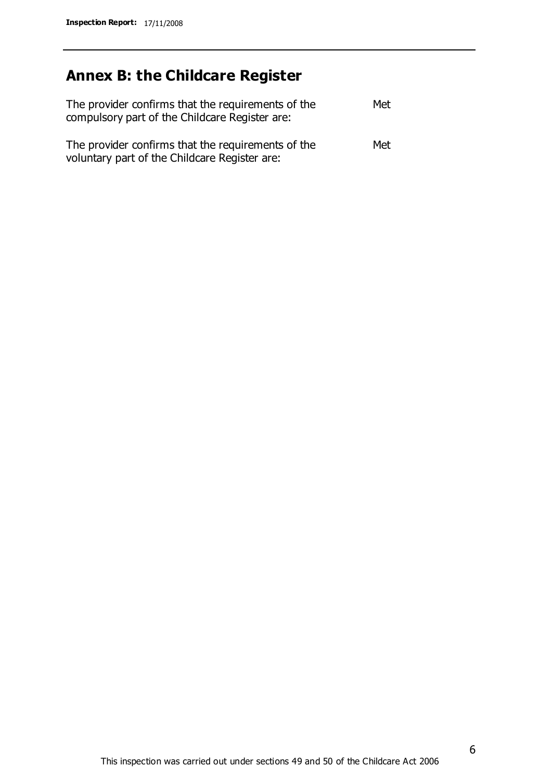# **Annex B: the Childcare Register**

| The provider confirms that the requirements of the<br>compulsory part of the Childcare Register are: | Met |
|------------------------------------------------------------------------------------------------------|-----|
| The provider confirms that the requirements of the<br>voluntary part of the Childcare Register are:  | Met |